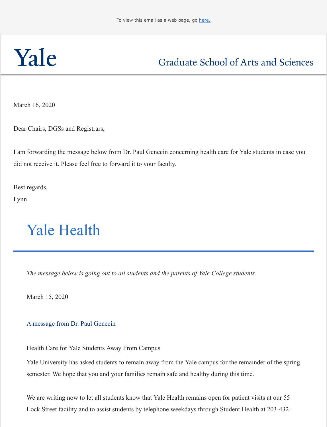March 16, 2020

[Dear Chairs, DGSs and Registrars,](http://click.message.yale.edu/?qs=351801ecccae5b56e08e157885f6b2fafb0e2b2856073f392e9f50aeb0b42367f83337a103fc3f2e3d0cb71293454cb2137193330c44d2be)

I am forwarding the message below from Dr. Paul Genecin concerning health care for Yale stude did not receive it. Please feel free to forward it to your faculty.

Best regards,

Lynn

## Yale Health

*The message below is going out to all students and the parents of Yale College students.*

March 15, 2020

A message from Dr. Paul Genecin

Health Care for Yale Students Away From Campus

Yale University has asked students to remain away from the Yale campus for the remainder semester. We hope that you and your families remain safe and healthy during this time.

We are writing now to let all students know that Yale Health remains open for patient visits Lock Street facility and to assist students by telephone weekdays through Student Health at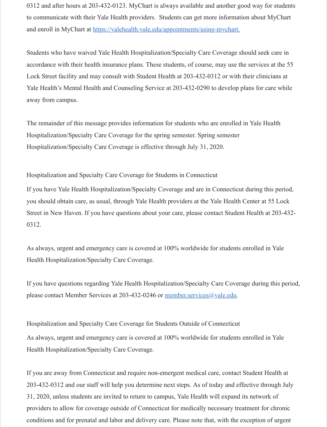Yale Health's Mental Health and Counseling Service at 203-432-0290 to develop plans for c away from campus.

The remainder of this message provides information for students who are enrolled in Yale H Hospitalization/Specialty Care Coverage for the spring semester. Spring semester Hospitalization/Specialty Care Coverage is effective through July 31, 2020.

Hospitalization and Specialty Care Coverage for Students in Connecticut

If you have Yale Health Hospitalization/Specialty Coverage and are in Connecticut during the you should obtain care, as usual, through Yale Health providers at the Yale Health Center at Street in New Haven. If you have questions about your care, please contact Student Health at 0312.

As always, urgent and emergency care is covered at 100% worldwide for students enrolled i Health Hospitalization/Specialty Care Coverage.

If you have questions regarding Yale Health Hospitalization/Specialty Care Coverage during please contact Member Services at 203-432-0246 or member.services@yale.edu.

Hospitalization and Specialty Care Coverage for Students Outside of Connecticut As always, urgent and emergency care is covered at 100% worldwide for students enrolled in Health Hospitalization/Specialty Care Coverage.

If you are away from Connecticut and require non-e[mergent medical care, contac](mailto:member.services@yale.edu?subject=)t Student H 203-432-0312 and our staff will help you determine next steps. As of today and effective through  $\frac{1}{2}$ 31, 2020, unless students are invited to return to campus, Yale Health will expand its network providers to allow for coverage outside of Connecticut for medically necessary treatment for conditions and for prenatal and labor and delivery care. Please note that, with the exception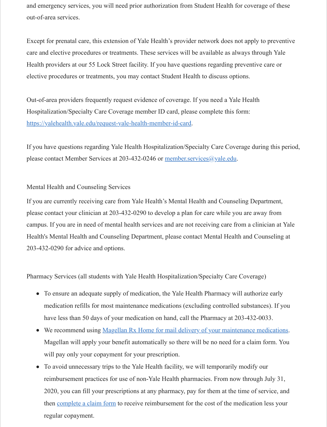Out-of-area providers frequently request evidence of coverage. If you need a Yale Health Hospitalization/Specialty Care Coverage member ID card, please complete this form: https://yalehealth.yale.edu/request-yale-health-member-id-card.

If you have questions regarding Yale Health Hospitalization/Specialty Care Coverage during please contact Member Services at 203-432-0246 or member.services@yale.edu.

## Mental Health and Counseling Services

[If you are currently receiving care from Yale Health's Mental H](http://click.message.yale.edu/?qs=351801ecccae5b569aebdeb7c025fe2bffc082f15cc0bbbcfe2d21f1b4a803c697c945d15bf5454e0c98d49d9afa3cdd6b2ab1ab451d8682)ealth and Counseling Depar please contact your clinician at 203-432-0290 to develop a plan for care while you are away campus. If you are in need of mental health services and are not receiving care from a clinic Health's Mental Health and Counseling Department, [please contact Mental Healt](mailto:member.services@yale.edu?subject=)h and Cour 203-432-0290 for advice and options.

Pharmacy Services (all students with Yale Health Hospitalization/Specialty Care Coverage)

- To ensure an adequate supply of medication, the Yale Health Pharmacy will authorize medication refills for most maintenance medications (excluding controlled substance have less than 50 days of your medication on hand, call the Pharmacy at 203-432-003
- We recommend using Magellan Rx Home for mail delivery of your maintenance mediations. Magellan will apply your benefit automatically so there will be no need for a claim form. will pay only your copayment for your prescription.
- To avoid unnecessary trips to the Yale Health facility, we will temporarily modify our reimbursement practices for use of non-Yale Health pharmacies. From now through J 2020, you can fill your prescriptions at any pharmacy, pay for them at the time of serthen complete a claim form to receive reimbursement for the cost of the medication less regular copayment.